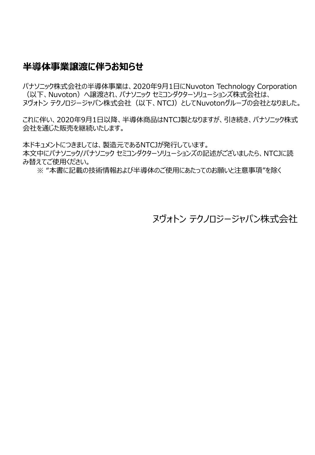### **半導体事業譲渡に伴うお知らせ**

パナソニック株式会社の半導体事業は、2020年9月1日にNuvoton Technology Corporation (以下、Nuvoton)へ譲渡され、パナソニック セミコンダクターソリューションズ株式会社は、 ヌヴォトン テクノロジージャパン株式会社(以下、NTCJ)としてNuvotonグループの会社となりました。

これに伴い、2020年9月1日以降、半導体商品はNTCJ製となりますが、引き続き、パナソニック株式 会社を通じた販売を継続いたします。

本ドキュメントにつきましては、製造元であるNTCJが発行しています。

本文中にパナソニック/パナソニック セミコンダクターソリューションズの記述がございましたら、NTCJに読 み替えてご使用ください。

※ "本書に記載の技術情報および半導体のご使用にあたってのお願いと注意事項"を除く

ヌヴォトン テクノロジージャパン株式会社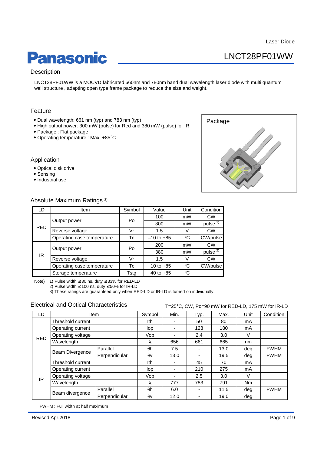### LNCT28PF01WW

# **Panasonic**

### **Description**

LNCT28PF01WW is a MOCVD fabricated 660nm and 780nm band dual wavelength laser diode with multi quantum well structure , adapting open type frame package to reduce the size and weight.

### Feature

- Dual wavelength: 661 nm (typ) and 783 nm (typ)
- High output power: 300 mW (pulse) for Red and 380 mW (pulse) for IR
- Package : Flat package
- Operating temperature : Max. +85°C

#### Application

- Optical disk drive
- Sensing
- Industrial use



#### Absolute Maximum Ratings 3)

| LD         | Item                       | Symbol | Value          | Unit | Condition           |
|------------|----------------------------|--------|----------------|------|---------------------|
| <b>RED</b> | Output power               | Po     | 100            | mW   | <b>CW</b>           |
|            |                            |        | 300            | mW   | pulse <sup>1)</sup> |
|            | Reverse voltage            | Vr     | 1.5            | V    | <b>CW</b>           |
|            | Operating case temperature | Тc     | $-10$ to $+85$ | °C   | CW/pulse            |
| IR         |                            | Po     | 200            | mW   | <b>CW</b>           |
|            | Output power               |        | 380            | mW   | pulse <sup>2)</sup> |
|            | Reverse voltage            | Vr     | 1.5            | v    | <b>CW</b>           |
|            | Operating case temperature | Тc     | $-10$ to $+85$ | °C   | CW/pulse            |
|            | Storage temperature        | Tstg   | $-40$ to $+85$ | °C   |                     |

Note) 1) Pulse width ≤ 30 ns, duty ≤ 33% for RED-LD

2) Pulse width  $\leq 100$  ns, duty  $\leq 50\%$  for IR-LD

3) These ratings are guaranteed only when RED-LD or IR-LD is turned on individually.

#### Electrical and Optical Characteristics

T=25°C, CW, Po=90 mW for RED-LD, 175 mW for IR-LD

| LD         | <b>Item</b>       |               | Symbol     | Min. | Typ.                     | Max. | Unit           | Condition   |
|------------|-------------------|---------------|------------|------|--------------------------|------|----------------|-------------|
| <b>RED</b> | Threshold current |               | Ith        |      | 50                       | 80   | mA             |             |
|            | Operating current |               | lop        |      | 128                      | 180  | mA             |             |
|            | Operating voltage |               | Vop        |      | 2.4                      | 3.0  | v              |             |
|            | Wavelength        |               | λ          | 656  | 661                      | 665  | nm             |             |
|            | Beam Divergence   | Parallel      | θh         | 7.5  |                          | 13.0 | deg            | <b>FWHM</b> |
|            |                   | Perpendicular | $\theta$ v | 13.0 | -                        | 19.5 | deg            | <b>FWHM</b> |
| IR         | Threshold current |               | lth        |      | 45                       | 70   | mA             |             |
|            | Operating current |               | lop        |      | 210                      | 275  | mA             |             |
|            | Operating voltage |               | Vop        |      | 2.5                      | 3.0  | V              |             |
|            | Wavelength        |               | λ          | 777  | 783                      | 791  | N <sub>m</sub> |             |
|            | Beam divergence   | Parallel      | $\theta$ h | 6.0  | $\overline{\phantom{a}}$ | 11.5 | dea            | <b>FWHM</b> |
|            |                   | Perpendicular | $\theta$   | 12.0 | -                        | 19.0 | deg            |             |

FWHM : Full width at half maximum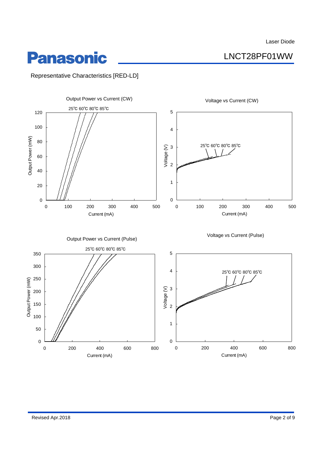LNCT28PF01WW

# **Panasonic**

Representative Characteristics [RED-LD]

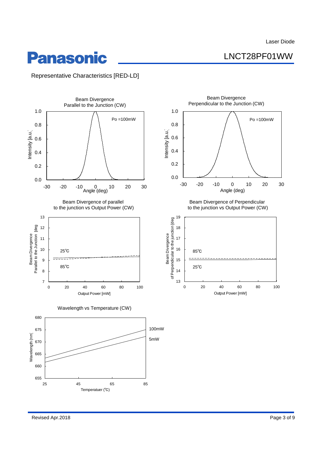LNCT28PF01WW

# **Panasonic**

Representative Characteristics [RED-LD]

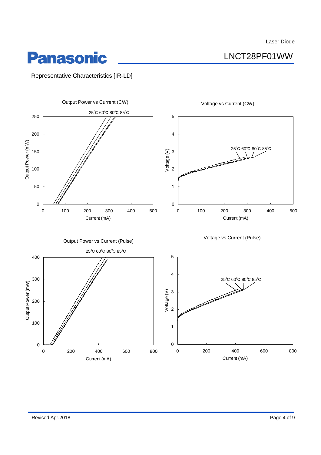LNCT28PF01WW

## **Panasonic**

Representative Characteristics [IR-LD]

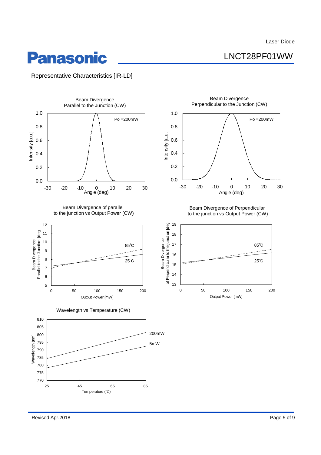LNCT28PF01WW

# **Panasonic**

Representative Characteristics [IR-LD]



Revised Apr.2018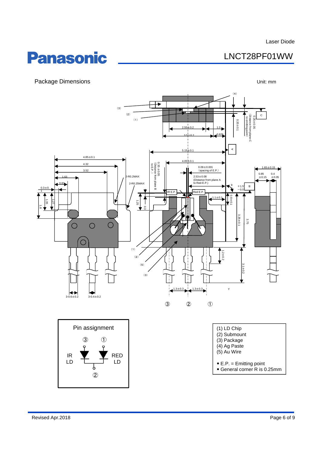### LNCT28PF01WW

# **Panasonic**

### Package Dimensions **Package Unit:** mm



②

General corner R is 0.25mm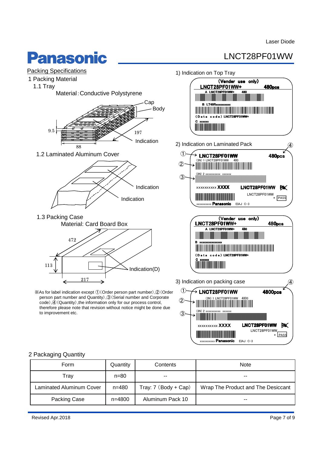# **Panasonic**

### LNCT28PF01WW



### 2 Packaging Quantity

| Form                            | Quantity   | Contents             | <b>Note</b>                        |
|---------------------------------|------------|----------------------|------------------------------------|
| Trav                            | $n = 80$   | $- -$                | $- -$                              |
| <b>Laminated Aluminum Cover</b> | $n = 480$  | Tray: 7 (Body + Cap) | Wrap The Product and The Desiccant |
| Packing Case                    | $n = 4800$ | Aluminum Pack 10     | $- -$                              |

\* PASS

xxxxxxxxx **Panasonic** EIAJ C-3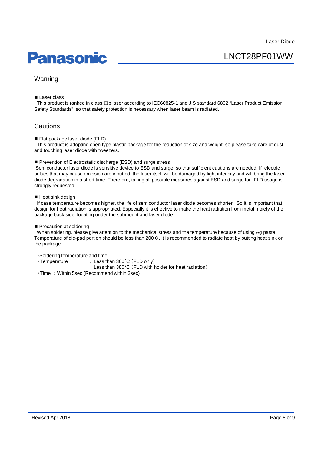## **Panasonic**

LNCT28PF01WW

### Warning

Laser class

This product is ranked in class IIIb laser according to IEC60825-1 and JIS standard 6802 "Laser Product Emission Safety Standards", so that safety protection is necessary when laser beam is radiated.

### **Cautions**

Flat package laser diode (FLD)

This product is adopting open type plastic package for the reduction of size and weight, so please take care of dust and touching laser diode with tweezers.

#### Prevention of Electrostatic discharge (ESD) and surge stress

Semiconductor laser diode is sensitive device to ESD and surge, so that sufficient cautions are needed. If electric pulses that may cause emission are inputted, the laser itself will be damaged by light intensity and will bring the laser diode degradation in a short time. Therefore, taking all possible measures against ESD and surge for FLD usage is strongly requested.

#### ■ Heat sink design

If case temperature becomes higher, the life of semiconductor laser diode becomes shorter. So it is important that design for heat radiation is appropriated. Especially it is effective to make the heat radiation from metal moiety of the package back side, locating under the submount and laser diode.

#### Precaution at soldering

When soldering, please give attention to the mechanical stress and the temperature because of using Ag paste. Temperature of die-pad portion should be less than 200℃. It is recommended to radiate heat by putting heat sink on the package.

・Soldering temperature and time

・Temperature : Less than 360°C (FLD only)

Less than 380°C (FLD with holder for heat radiation)

・Time : Within 5sec (Recommend within 3sec)